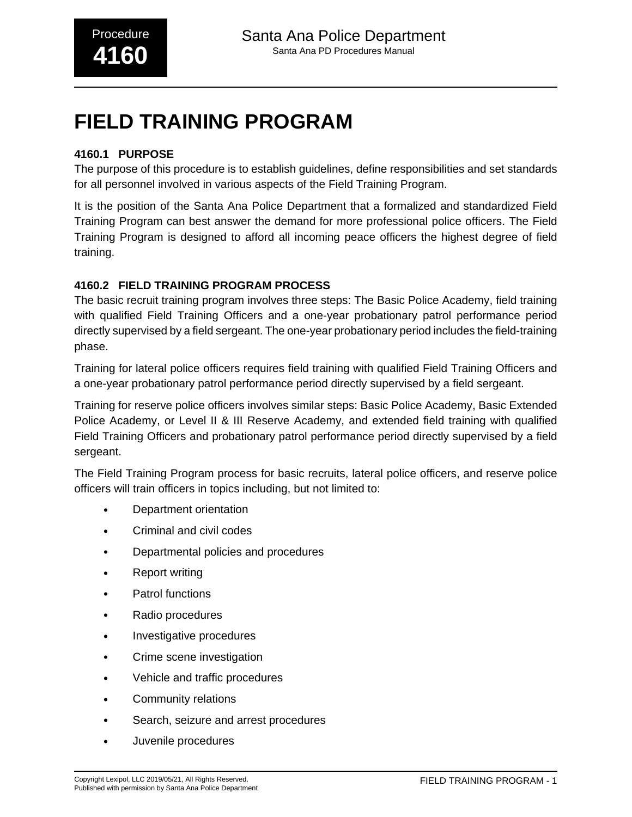### **4160.1 PURPOSE**

The purpose of this procedure is to establish guidelines, define responsibilities and set standards for all personnel involved in various aspects of the Field Training Program.

It is the position of the Santa Ana Police Department that a formalized and standardized Field Training Program can best answer the demand for more professional police officers. The Field Training Program is designed to afford all incoming peace officers the highest degree of field training.

#### **4160.2 FIELD TRAINING PROGRAM PROCESS**

The basic recruit training program involves three steps: The Basic Police Academy, field training with qualified Field Training Officers and a one-year probationary patrol performance period directly supervised by a field sergeant. The one-year probationary period includes the field-training phase.

Training for lateral police officers requires field training with qualified Field Training Officers and a one-year probationary patrol performance period directly supervised by a field sergeant.

Training for reserve police officers involves similar steps: Basic Police Academy, Basic Extended Police Academy, or Level II & III Reserve Academy, and extended field training with qualified Field Training Officers and probationary patrol performance period directly supervised by a field sergeant.

The Field Training Program process for basic recruits, lateral police officers, and reserve police officers will train officers in topics including, but not limited to:

- Department orientation
- Criminal and civil codes
- Departmental policies and procedures
- Report writing
- Patrol functions
- Radio procedures
- Investigative procedures
- Crime scene investigation
- Vehicle and traffic procedures
- Community relations
- Search, seizure and arrest procedures
- Juvenile procedures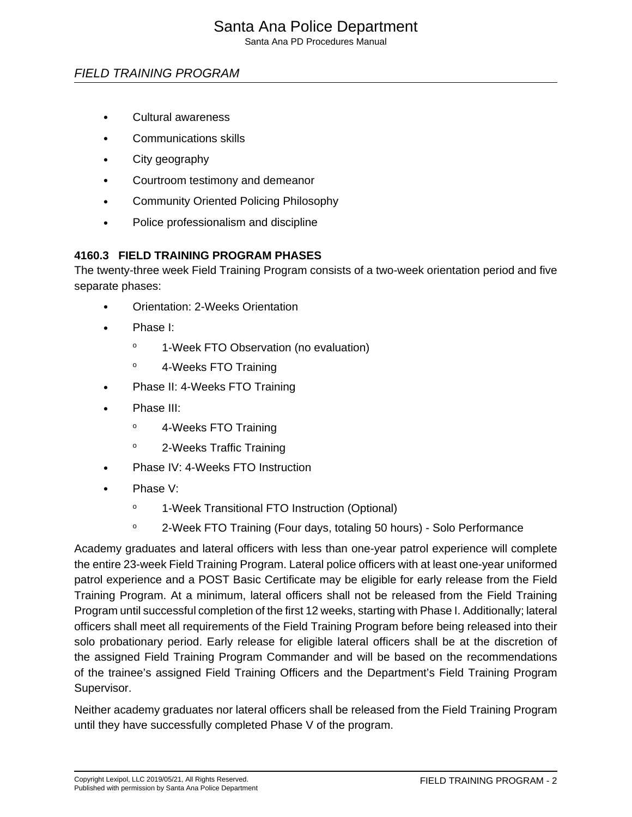## Santa Ana Police Department

Santa Ana PD Procedures Manual

## FIELD TRAINING PROGRAM

- Cultural awareness
- Communications skills
- City geography
- Courtroom testimony and demeanor
- Community Oriented Policing Philosophy
- Police professionalism and discipline

#### **4160.3 FIELD TRAINING PROGRAM PHASES**

The twenty-three week Field Training Program consists of a two-week orientation period and five separate phases:

- Orientation: 2-Weeks Orientation
- Phase I:
	- <sup>o</sup> 1-Week FTO Observation (no evaluation)
	- <sup>o</sup> 4-Weeks FTO Training
- Phase II: 4-Weeks FTO Training
- Phase III:
	- <sup>o</sup> 4-Weeks FTO Training
	- <sup>o</sup> 2-Weeks Traffic Training
- Phase IV: 4-Weeks FTO Instruction
- Phase V:
	- <sup>o</sup> 1-Week Transitional FTO Instruction (Optional)
	- <sup>o</sup> 2-Week FTO Training (Four days, totaling 50 hours) Solo Performance

Academy graduates and lateral officers with less than one-year patrol experience will complete the entire 23-week Field Training Program. Lateral police officers with at least one-year uniformed patrol experience and a POST Basic Certificate may be eligible for early release from the Field Training Program. At a minimum, lateral officers shall not be released from the Field Training Program until successful completion of the first 12 weeks, starting with Phase I. Additionally; lateral officers shall meet all requirements of the Field Training Program before being released into their solo probationary period. Early release for eligible lateral officers shall be at the discretion of the assigned Field Training Program Commander and will be based on the recommendations of the trainee's assigned Field Training Officers and the Department's Field Training Program Supervisor.

Neither academy graduates nor lateral officers shall be released from the Field Training Program until they have successfully completed Phase V of the program.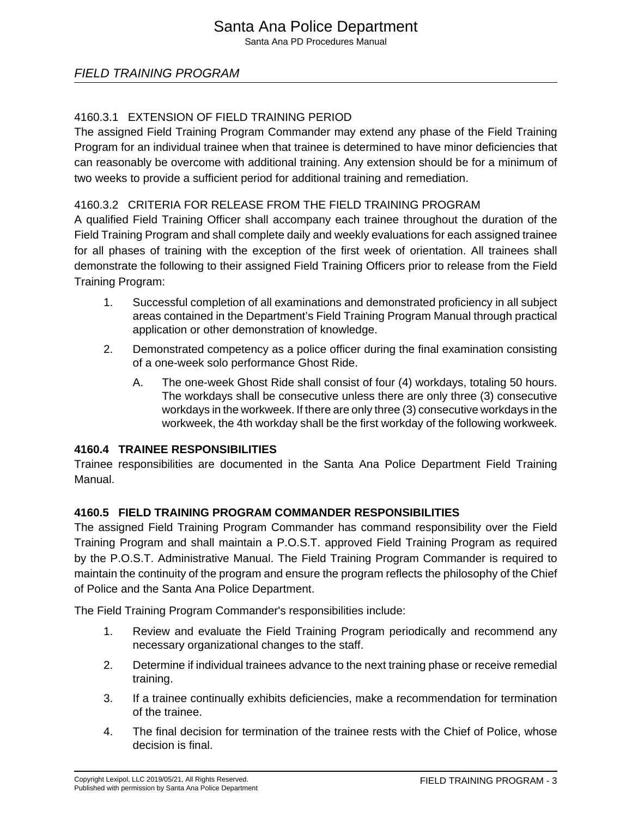Santa Ana PD Procedures Manual

## FIELD TRAINING PROGRAM

## 4160.3.1 EXTENSION OF FIELD TRAINING PERIOD

The assigned Field Training Program Commander may extend any phase of the Field Training Program for an individual trainee when that trainee is determined to have minor deficiencies that can reasonably be overcome with additional training. Any extension should be for a minimum of two weeks to provide a sufficient period for additional training and remediation.

### 4160.3.2 CRITERIA FOR RELEASE FROM THE FIELD TRAINING PROGRAM

A qualified Field Training Officer shall accompany each trainee throughout the duration of the Field Training Program and shall complete daily and weekly evaluations for each assigned trainee for all phases of training with the exception of the first week of orientation. All trainees shall demonstrate the following to their assigned Field Training Officers prior to release from the Field Training Program:

- 1. Successful completion of all examinations and demonstrated proficiency in all subject areas contained in the Department's Field Training Program Manual through practical application or other demonstration of knowledge.
- 2. Demonstrated competency as a police officer during the final examination consisting of a one-week solo performance Ghost Ride.
	- A. The one-week Ghost Ride shall consist of four (4) workdays, totaling 50 hours. The workdays shall be consecutive unless there are only three (3) consecutive workdays in the workweek. If there are only three (3) consecutive workdays in the workweek, the 4th workday shall be the first workday of the following workweek.

#### **4160.4 TRAINEE RESPONSIBILITIES**

Trainee responsibilities are documented in the Santa Ana Police Department Field Training Manual.

## **4160.5 FIELD TRAINING PROGRAM COMMANDER RESPONSIBILITIES**

The assigned Field Training Program Commander has command responsibility over the Field Training Program and shall maintain a P.O.S.T. approved Field Training Program as required by the P.O.S.T. Administrative Manual. The Field Training Program Commander is required to maintain the continuity of the program and ensure the program reflects the philosophy of the Chief of Police and the Santa Ana Police Department.

The Field Training Program Commander's responsibilities include:

- 1. Review and evaluate the Field Training Program periodically and recommend any necessary organizational changes to the staff.
- 2. Determine if individual trainees advance to the next training phase or receive remedial training.
- 3. If a trainee continually exhibits deficiencies, make a recommendation for termination of the trainee.
- 4. The final decision for termination of the trainee rests with the Chief of Police, whose decision is final.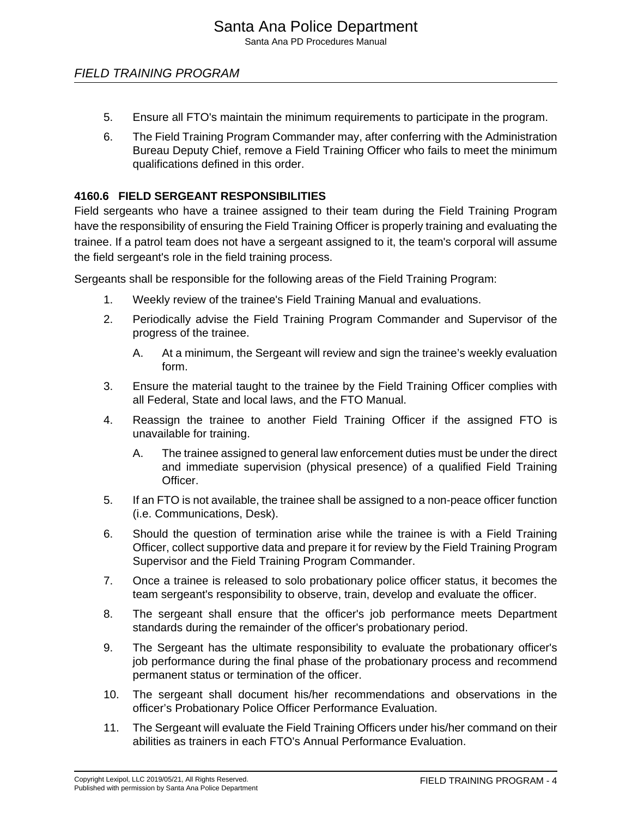- 5. Ensure all FTO's maintain the minimum requirements to participate in the program.
- 6. The Field Training Program Commander may, after conferring with the Administration Bureau Deputy Chief, remove a Field Training Officer who fails to meet the minimum qualifications defined in this order.

#### **4160.6 FIELD SERGEANT RESPONSIBILITIES**

Field sergeants who have a trainee assigned to their team during the Field Training Program have the responsibility of ensuring the Field Training Officer is properly training and evaluating the trainee. If a patrol team does not have a sergeant assigned to it, the team's corporal will assume the field sergeant's role in the field training process.

Sergeants shall be responsible for the following areas of the Field Training Program:

- 1. Weekly review of the trainee's Field Training Manual and evaluations.
- 2. Periodically advise the Field Training Program Commander and Supervisor of the progress of the trainee.
	- A. At a minimum, the Sergeant will review and sign the trainee's weekly evaluation form.
- 3. Ensure the material taught to the trainee by the Field Training Officer complies with all Federal, State and local laws, and the FTO Manual.
- 4. Reassign the trainee to another Field Training Officer if the assigned FTO is unavailable for training.
	- A. The trainee assigned to general law enforcement duties must be under the direct and immediate supervision (physical presence) of a qualified Field Training Officer.
- 5. If an FTO is not available, the trainee shall be assigned to a non-peace officer function (i.e. Communications, Desk).
- 6. Should the question of termination arise while the trainee is with a Field Training Officer, collect supportive data and prepare it for review by the Field Training Program Supervisor and the Field Training Program Commander.
- 7. Once a trainee is released to solo probationary police officer status, it becomes the team sergeant's responsibility to observe, train, develop and evaluate the officer.
- 8. The sergeant shall ensure that the officer's job performance meets Department standards during the remainder of the officer's probationary period.
- 9. The Sergeant has the ultimate responsibility to evaluate the probationary officer's job performance during the final phase of the probationary process and recommend permanent status or termination of the officer.
- 10. The sergeant shall document his/her recommendations and observations in the officer's Probationary Police Officer Performance Evaluation.
- 11. The Sergeant will evaluate the Field Training Officers under his/her command on their abilities as trainers in each FTO's Annual Performance Evaluation.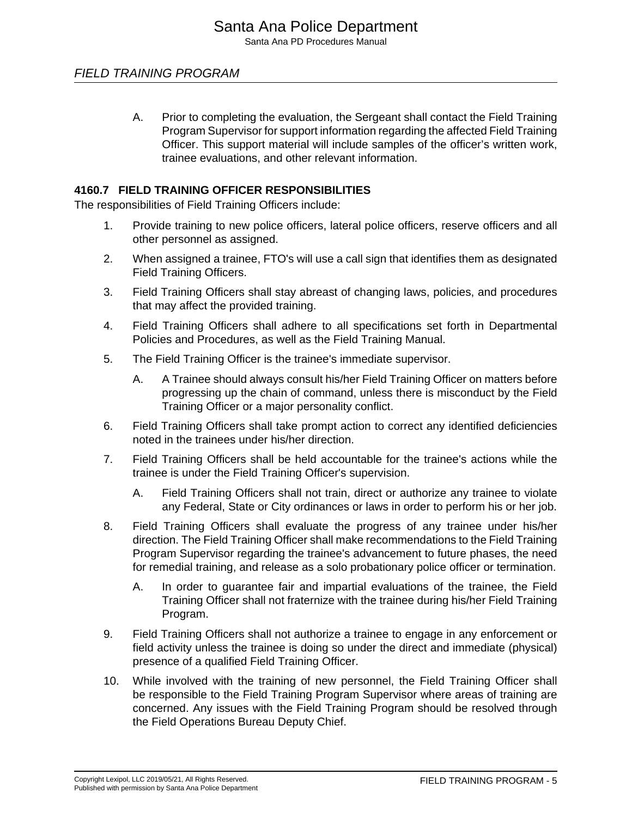A. Prior to completing the evaluation, the Sergeant shall contact the Field Training Program Supervisor for support information regarding the affected Field Training Officer. This support material will include samples of the officer's written work, trainee evaluations, and other relevant information.

#### **4160.7 FIELD TRAINING OFFICER RESPONSIBILITIES**

The responsibilities of Field Training Officers include:

- 1. Provide training to new police officers, lateral police officers, reserve officers and all other personnel as assigned.
- 2. When assigned a trainee, FTO's will use a call sign that identifies them as designated Field Training Officers.
- 3. Field Training Officers shall stay abreast of changing laws, policies, and procedures that may affect the provided training.
- 4. Field Training Officers shall adhere to all specifications set forth in Departmental Policies and Procedures, as well as the Field Training Manual.
- 5. The Field Training Officer is the trainee's immediate supervisor.
	- A. A Trainee should always consult his/her Field Training Officer on matters before progressing up the chain of command, unless there is misconduct by the Field Training Officer or a major personality conflict.
- 6. Field Training Officers shall take prompt action to correct any identified deficiencies noted in the trainees under his/her direction.
- 7. Field Training Officers shall be held accountable for the trainee's actions while the trainee is under the Field Training Officer's supervision.
	- A. Field Training Officers shall not train, direct or authorize any trainee to violate any Federal, State or City ordinances or laws in order to perform his or her job.
- 8. Field Training Officers shall evaluate the progress of any trainee under his/her direction. The Field Training Officer shall make recommendations to the Field Training Program Supervisor regarding the trainee's advancement to future phases, the need for remedial training, and release as a solo probationary police officer or termination.
	- A. In order to guarantee fair and impartial evaluations of the trainee, the Field Training Officer shall not fraternize with the trainee during his/her Field Training Program.
- 9. Field Training Officers shall not authorize a trainee to engage in any enforcement or field activity unless the trainee is doing so under the direct and immediate (physical) presence of a qualified Field Training Officer.
- 10. While involved with the training of new personnel, the Field Training Officer shall be responsible to the Field Training Program Supervisor where areas of training are concerned. Any issues with the Field Training Program should be resolved through the Field Operations Bureau Deputy Chief.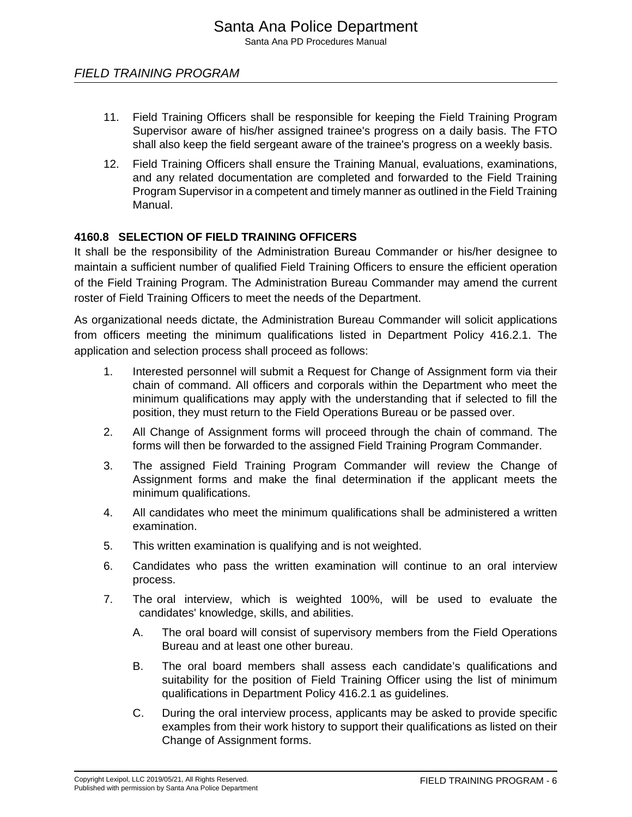- 11. Field Training Officers shall be responsible for keeping the Field Training Program Supervisor aware of his/her assigned trainee's progress on a daily basis. The FTO shall also keep the field sergeant aware of the trainee's progress on a weekly basis.
- 12. Field Training Officers shall ensure the Training Manual, evaluations, examinations, and any related documentation are completed and forwarded to the Field Training Program Supervisor in a competent and timely manner as outlined in the Field Training Manual.

#### **4160.8 SELECTION OF FIELD TRAINING OFFICERS**

It shall be the responsibility of the Administration Bureau Commander or his/her designee to maintain a sufficient number of qualified Field Training Officers to ensure the efficient operation of the Field Training Program. The Administration Bureau Commander may amend the current roster of Field Training Officers to meet the needs of the Department.

As organizational needs dictate, the Administration Bureau Commander will solicit applications from officers meeting the minimum qualifications listed in Department Policy 416.2.1. The application and selection process shall proceed as follows:

- 1. Interested personnel will submit a Request for Change of Assignment form via their chain of command. All officers and corporals within the Department who meet the minimum qualifications may apply with the understanding that if selected to fill the position, they must return to the Field Operations Bureau or be passed over.
- 2. All Change of Assignment forms will proceed through the chain of command. The forms will then be forwarded to the assigned Field Training Program Commander.
- 3. The assigned Field Training Program Commander will review the Change of Assignment forms and make the final determination if the applicant meets the minimum qualifications.
- 4. All candidates who meet the minimum qualifications shall be administered a written examination.
- 5. This written examination is qualifying and is not weighted.
- 6. Candidates who pass the written examination will continue to an oral interview process.
- 7. The oral interview, which is weighted 100%, will be used to evaluate the candidates' knowledge, skills, and abilities.
	- A. The oral board will consist of supervisory members from the Field Operations Bureau and at least one other bureau.
	- B. The oral board members shall assess each candidate's qualifications and suitability for the position of Field Training Officer using the list of minimum qualifications in Department Policy 416.2.1 as guidelines.
	- C. During the oral interview process, applicants may be asked to provide specific examples from their work history to support their qualifications as listed on their Change of Assignment forms.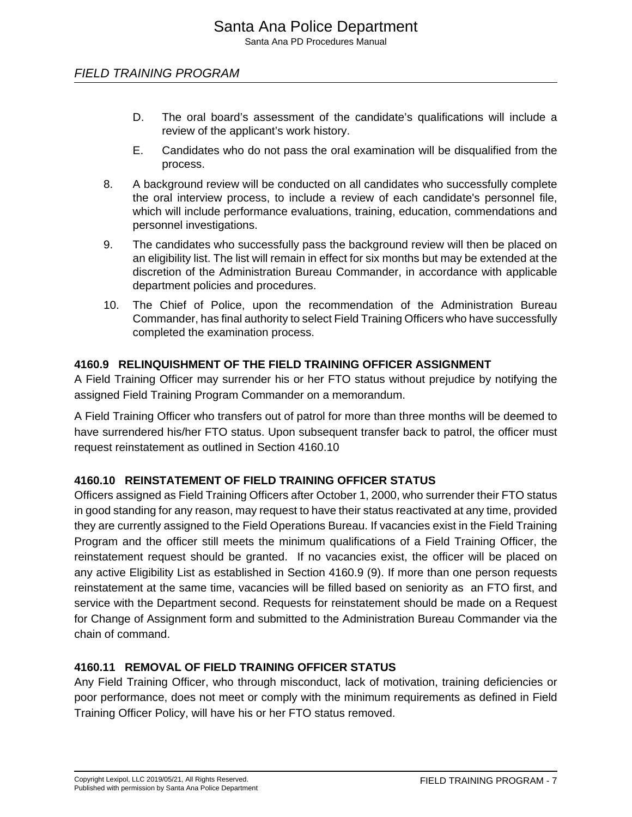- D. The oral board's assessment of the candidate's qualifications will include a review of the applicant's work history.
- E. Candidates who do not pass the oral examination will be disqualified from the process.
- 8. A background review will be conducted on all candidates who successfully complete the oral interview process, to include a review of each candidate's personnel file, which will include performance evaluations, training, education, commendations and personnel investigations.
- 9. The candidates who successfully pass the background review will then be placed on an eligibility list. The list will remain in effect for six months but may be extended at the discretion of the Administration Bureau Commander, in accordance with applicable department policies and procedures.
- 10. The Chief of Police, upon the recommendation of the Administration Bureau Commander, has final authority to select Field Training Officers who have successfully completed the examination process.

#### **4160.9 RELINQUISHMENT OF THE FIELD TRAINING OFFICER ASSIGNMENT**

A Field Training Officer may surrender his or her FTO status without prejudice by notifying the assigned Field Training Program Commander on a memorandum.

A Field Training Officer who transfers out of patrol for more than three months will be deemed to have surrendered his/her FTO status. Upon subsequent transfer back to patrol, the officer must request reinstatement as outlined in Section 4160.10

#### **4160.10 REINSTATEMENT OF FIELD TRAINING OFFICER STATUS**

Officers assigned as Field Training Officers after October 1, 2000, who surrender their FTO status in good standing for any reason, may request to have their status reactivated at any time, provided they are currently assigned to the Field Operations Bureau. If vacancies exist in the Field Training Program and the officer still meets the minimum qualifications of a Field Training Officer, the reinstatement request should be granted. If no vacancies exist, the officer will be placed on any active Eligibility List as established in Section 4160.9 (9). If more than one person requests reinstatement at the same time, vacancies will be filled based on seniority as an FTO first, and service with the Department second. Requests for reinstatement should be made on a Request for Change of Assignment form and submitted to the Administration Bureau Commander via the chain of command.

#### **4160.11 REMOVAL OF FIELD TRAINING OFFICER STATUS**

Any Field Training Officer, who through misconduct, lack of motivation, training deficiencies or poor performance, does not meet or comply with the minimum requirements as defined in Field Training Officer Policy, will have his or her FTO status removed.